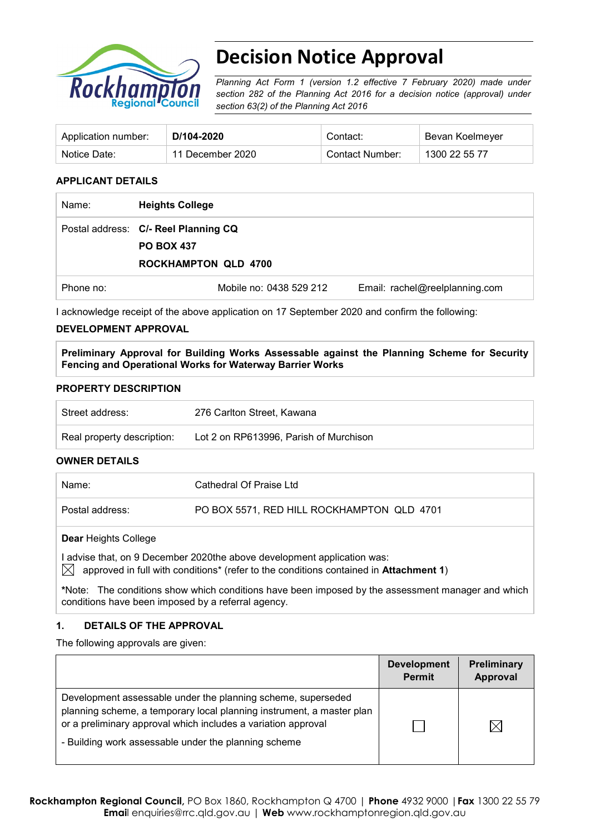

# **Decision Notice Approval**

*Planning Act Form 1 (version 1.2 effective 7 February 2020) made under section 282 of the Planning Act 2016 for a decision notice (approval) under section 63(2) of the Planning Act 2016*

| Application number: | D/104-2020       | Contact:        | Bevan Koelmeyer |
|---------------------|------------------|-----------------|-----------------|
| Notice Date:        | 11 December 2020 | Contact Number: | 1300 22 55 77   |

#### **APPLICANT DETAILS**

| Name:     | <b>Heights College</b>                                    |                                |
|-----------|-----------------------------------------------------------|--------------------------------|
|           | Postal address: C/- Reel Planning CQ<br><b>PO BOX 437</b> |                                |
|           | <b>ROCKHAMPTON QLD 4700</b>                               |                                |
| Phone no: | Mobile no: 0438 529 212                                   | Email: rachel@reelplanning.com |

I acknowledge receipt of the above application on 17 September 2020 and confirm the following:

#### **DEVELOPMENT APPROVAL**

**Preliminary Approval for Building Works Assessable against the Planning Scheme for Security Fencing and Operational Works for Waterway Barrier Works**

#### **PROPERTY DESCRIPTION**

| Street address:            | 276 Carlton Street, Kawana             |
|----------------------------|----------------------------------------|
| Real property description: | Lot 2 on RP613996, Parish of Murchison |
| $\bigcap_{i=1}^{n}$        |                                        |

#### **OWNER DETAILS**

| Name:           | Cathedral Of Praise Ltd                    |
|-----------------|--------------------------------------------|
| Postal address: | PO BOX 5571, RED HILL ROCKHAMPTON QLD 4701 |
|                 |                                            |

#### **Dear** Heights College

I advise that, on 9 December 2020the above development application was:  $\boxtimes$  approved in full with conditions<sup>\*</sup> (refer to the conditions contained in **Attachment 1**)

**\***Note:The conditions show which conditions have been imposed by the assessment manager and which conditions have been imposed by a referral agency.

#### **1. DETAILS OF THE APPROVAL**

The following approvals are given:

|                                                                                                                                                                                                                                                                | <b>Development</b><br><b>Permit</b> | Preliminary<br>Approval |
|----------------------------------------------------------------------------------------------------------------------------------------------------------------------------------------------------------------------------------------------------------------|-------------------------------------|-------------------------|
| Development assessable under the planning scheme, superseded<br>planning scheme, a temporary local planning instrument, a master plan<br>or a preliminary approval which includes a variation approval<br>- Building work assessable under the planning scheme |                                     |                         |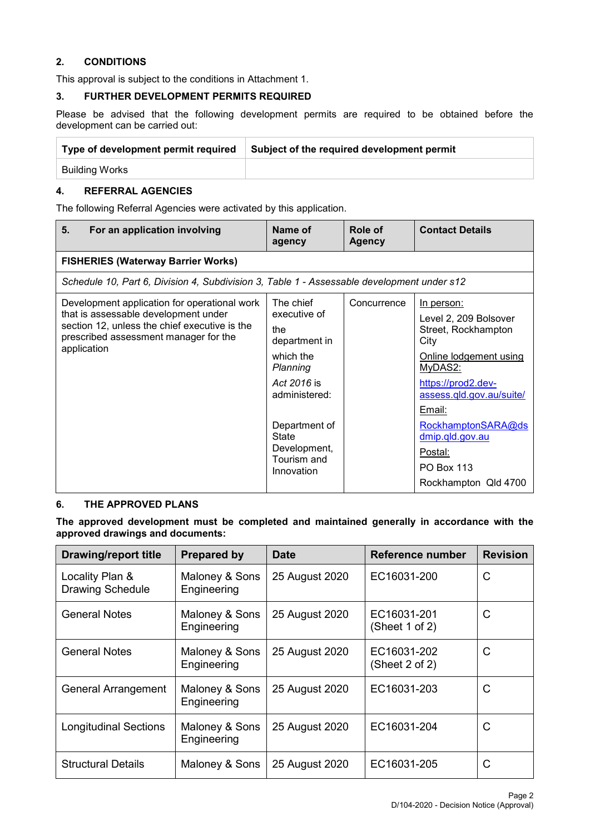### **2. CONDITIONS**

This approval is subject to the conditions in Attachment 1.

#### **3. FURTHER DEVELOPMENT PERMITS REQUIRED**

Please be advised that the following development permits are required to be obtained before the development can be carried out:

| Type of development permit required | Subject of the required development permit |
|-------------------------------------|--------------------------------------------|
| Building Works                      |                                            |

## **4. REFERRAL AGENCIES**

The following Referral Agencies were activated by this application.

| 5.<br>For an application involving                                                                                                                                                            | Name of<br>agency                                                                                                                                                                        | Role of<br><b>Agency</b> | <b>Contact Details</b>                                                                                                                                                                                                                                               |
|-----------------------------------------------------------------------------------------------------------------------------------------------------------------------------------------------|------------------------------------------------------------------------------------------------------------------------------------------------------------------------------------------|--------------------------|----------------------------------------------------------------------------------------------------------------------------------------------------------------------------------------------------------------------------------------------------------------------|
| <b>FISHERIES (Waterway Barrier Works)</b>                                                                                                                                                     |                                                                                                                                                                                          |                          |                                                                                                                                                                                                                                                                      |
| Schedule 10, Part 6, Division 4, Subdivision 3, Table 1 - Assessable development under s12                                                                                                    |                                                                                                                                                                                          |                          |                                                                                                                                                                                                                                                                      |
| Development application for operational work<br>that is assessable development under<br>section 12, unless the chief executive is the<br>prescribed assessment manager for the<br>application | The chief<br>executive of<br>the<br>department in<br>which the<br>Planning<br>Act 2016 is<br>administered:<br>Department of<br><b>State</b><br>Development,<br>Tourism and<br>Innovation | Concurrence              | In person:<br>Level 2, 209 Bolsover<br>Street, Rockhampton<br>City<br>Online lodgement using<br>MyDAS2:<br>https://prod2.dev-<br>assess.qld.gov.au/suite/<br>Email:<br>RockhamptonSARA@ds<br>dmip.qld.gov.au<br>Postal:<br><b>PO Box 113</b><br>Rockhampton Qld 4700 |

#### **6. THE APPROVED PLANS**

**The approved development must be completed and maintained generally in accordance with the approved drawings and documents:**

| <b>Drawing/report title</b>                | <b>Prepared by</b>            | <b>Date</b>    | Reference number              | <b>Revision</b> |
|--------------------------------------------|-------------------------------|----------------|-------------------------------|-----------------|
| Locality Plan &<br><b>Drawing Schedule</b> | Maloney & Sons<br>Engineering | 25 August 2020 | EC16031-200                   | C               |
| <b>General Notes</b>                       | Maloney & Sons<br>Engineering | 25 August 2020 | EC16031-201<br>(Sheet 1 of 2) | C               |
| <b>General Notes</b>                       | Maloney & Sons<br>Engineering | 25 August 2020 | EC16031-202<br>(Sheet 2 of 2) | C               |
| <b>General Arrangement</b>                 | Maloney & Sons<br>Engineering | 25 August 2020 | EC16031-203                   | C               |
| <b>Longitudinal Sections</b>               | Maloney & Sons<br>Engineering | 25 August 2020 | EC16031-204                   | C               |
| <b>Structural Details</b>                  | Maloney & Sons                | 25 August 2020 | EC16031-205                   | C               |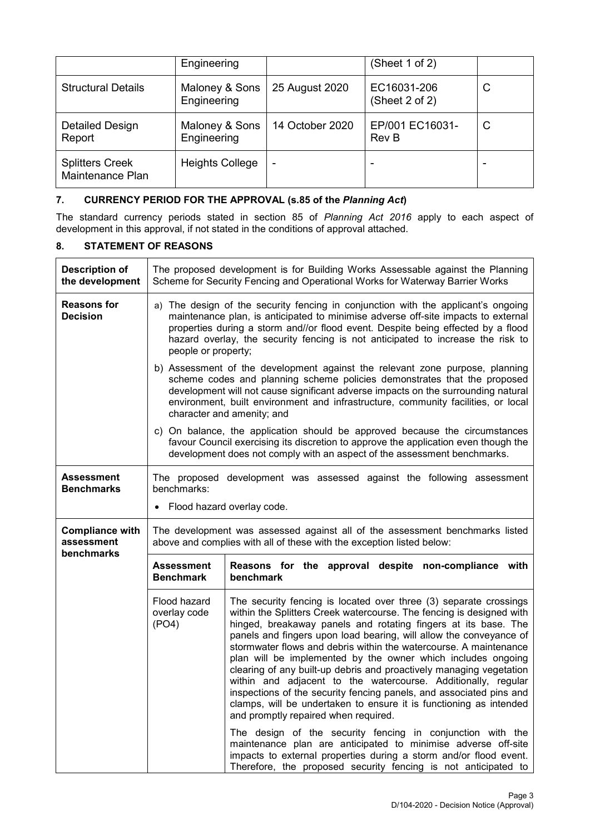|                                            | Engineering                   |                 | (Sheet 1 of 2)                |   |
|--------------------------------------------|-------------------------------|-----------------|-------------------------------|---|
| <b>Structural Details</b>                  | Maloney & Sons<br>Engineering | 25 August 2020  | EC16031-206<br>(Sheet 2 of 2) | C |
| Detailed Design<br>Report                  | Maloney & Sons<br>Engineering | 14 October 2020 | EP/001 EC16031-<br>Rev B      | C |
| <b>Splitters Creek</b><br>Maintenance Plan | <b>Heights College</b>        | ۰               | -                             |   |

### **7. CURRENCY PERIOD FOR THE APPROVAL (s.85 of the** *Planning Act***)**

The standard currency periods stated in section 85 of *Planning Act 2016* apply to each aspect of development in this approval, if not stated in the conditions of approval attached.

### **8. STATEMENT OF REASONS**

| <b>Description of</b><br>the development | The proposed development is for Building Works Assessable against the Planning<br>Scheme for Security Fencing and Operational Works for Waterway Barrier Works                                                                                                                                                                                                       |                                                                                                                                                                                                                                                                                                                                                                                                                                                                                                                                                                                                                                                                                                                                                     |  |  |  |
|------------------------------------------|----------------------------------------------------------------------------------------------------------------------------------------------------------------------------------------------------------------------------------------------------------------------------------------------------------------------------------------------------------------------|-----------------------------------------------------------------------------------------------------------------------------------------------------------------------------------------------------------------------------------------------------------------------------------------------------------------------------------------------------------------------------------------------------------------------------------------------------------------------------------------------------------------------------------------------------------------------------------------------------------------------------------------------------------------------------------------------------------------------------------------------------|--|--|--|
| <b>Reasons for</b><br><b>Decision</b>    | a) The design of the security fencing in conjunction with the applicant's ongoing<br>maintenance plan, is anticipated to minimise adverse off-site impacts to external<br>properties during a storm and//or flood event. Despite being effected by a flood<br>hazard overlay, the security fencing is not anticipated to increase the risk to<br>people or property; |                                                                                                                                                                                                                                                                                                                                                                                                                                                                                                                                                                                                                                                                                                                                                     |  |  |  |
|                                          |                                                                                                                                                                                                                                                                                                                                                                      | b) Assessment of the development against the relevant zone purpose, planning<br>scheme codes and planning scheme policies demonstrates that the proposed<br>development will not cause significant adverse impacts on the surrounding natural<br>environment, built environment and infrastructure, community facilities, or local<br>character and amenity; and                                                                                                                                                                                                                                                                                                                                                                                    |  |  |  |
|                                          |                                                                                                                                                                                                                                                                                                                                                                      | c) On balance, the application should be approved because the circumstances<br>favour Council exercising its discretion to approve the application even though the<br>development does not comply with an aspect of the assessment benchmarks.                                                                                                                                                                                                                                                                                                                                                                                                                                                                                                      |  |  |  |
| Assessment<br><b>Benchmarks</b>          | The proposed development was assessed against the following assessment<br>benchmarks:<br>Flood hazard overlay code.                                                                                                                                                                                                                                                  |                                                                                                                                                                                                                                                                                                                                                                                                                                                                                                                                                                                                                                                                                                                                                     |  |  |  |
| <b>Compliance with</b><br>assessment     | The development was assessed against all of the assessment benchmarks listed<br>above and complies with all of these with the exception listed below:                                                                                                                                                                                                                |                                                                                                                                                                                                                                                                                                                                                                                                                                                                                                                                                                                                                                                                                                                                                     |  |  |  |
| benchmarks                               | <b>Assessment</b><br><b>Benchmark</b>                                                                                                                                                                                                                                                                                                                                | Reasons for the approval despite non-compliance with<br>benchmark                                                                                                                                                                                                                                                                                                                                                                                                                                                                                                                                                                                                                                                                                   |  |  |  |
|                                          | Flood hazard<br>overlay code<br>(PO4)                                                                                                                                                                                                                                                                                                                                | The security fencing is located over three (3) separate crossings<br>within the Splitters Creek watercourse. The fencing is designed with<br>hinged, breakaway panels and rotating fingers at its base. The<br>panels and fingers upon load bearing, will allow the conveyance of<br>stormwater flows and debris within the watercourse. A maintenance<br>plan will be implemented by the owner which includes ongoing<br>clearing of any built-up debris and proactively managing vegetation<br>within and adjacent to the watercourse. Additionally, regular<br>inspections of the security fencing panels, and associated pins and<br>clamps, will be undertaken to ensure it is functioning as intended<br>and promptly repaired when required. |  |  |  |
|                                          |                                                                                                                                                                                                                                                                                                                                                                      | The design of the security fencing in conjunction with the<br>maintenance plan are anticipated to minimise adverse off-site<br>impacts to external properties during a storm and/or flood event.<br>Therefore, the proposed security fencing is not anticipated to                                                                                                                                                                                                                                                                                                                                                                                                                                                                                  |  |  |  |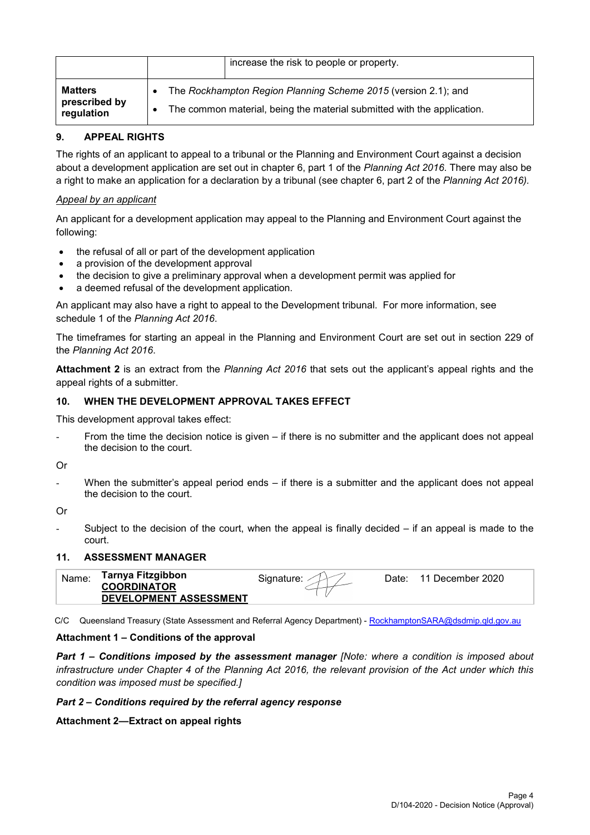|                                               | increase the risk to people or property.                                                                                                  |
|-----------------------------------------------|-------------------------------------------------------------------------------------------------------------------------------------------|
| <b>Matters</b><br>prescribed by<br>regulation | The Rockhampton Region Planning Scheme 2015 (version 2.1); and<br>The common material, being the material submitted with the application. |

### **9. APPEAL RIGHTS**

The rights of an applicant to appeal to a tribunal or the Planning and Environment Court against a decision about a development application are set out in chapter 6, part 1 of the *Planning Act 2016*. There may also be a right to make an application for a declaration by a tribunal (see chapter 6, part 2 of the *Planning Act 2016).*

#### *Appeal by an applicant*

An applicant for a development application may appeal to the Planning and Environment Court against the following:

- the refusal of all or part of the development application
- a provision of the development approval
- the decision to give a preliminary approval when a development permit was applied for
- a deemed refusal of the development application.

An applicant may also have a right to appeal to the Development tribunal. For more information, see schedule 1 of the *Planning Act 2016*.

The timeframes for starting an appeal in the Planning and Environment Court are set out in section 229 of the *Planning Act 2016*.

**Attachment 2** is an extract from the *Planning Act 2016* that sets out the applicant's appeal rights and the appeal rights of a submitter.

#### **10. WHEN THE DEVELOPMENT APPROVAL TAKES EFFECT**

This development approval takes effect:

From the time the decision notice is given  $-$  if there is no submitter and the applicant does not appeal the decision to the court.

Or

When the submitter's appeal period ends  $-$  if there is a submitter and the applicant does not appeal the decision to the court.

Or

Subject to the decision of the court, when the appeal is finally decided  $-$  if an appeal is made to the court.

#### **11. ASSESSMENT MANAGER**

| Tarnya Fitzgibbon<br><b>COORDINATOR</b> | Signature: | Date: | 11 December 2020 |
|-----------------------------------------|------------|-------|------------------|
| DEVELOPMENT ASSESSMENT                  |            |       |                  |

C/C Queensland Treasury (State Assessment and Referral Agency Department) - [RockhamptonSARA@dsdmip.qld.gov.au](mailto:RockhamptonSARA@dsdmip.qld.gov.au)

#### **Attachment 1 – Conditions of the approval**

*Part 1* **–** *Conditions imposed by the assessment manager [Note: where a condition is imposed about infrastructure under Chapter 4 of the Planning Act 2016, the relevant provision of the Act under which this condition was imposed must be specified.]*

#### *Part 2 – Conditions required by the referral agency response*

#### **Attachment 2—Extract on appeal rights**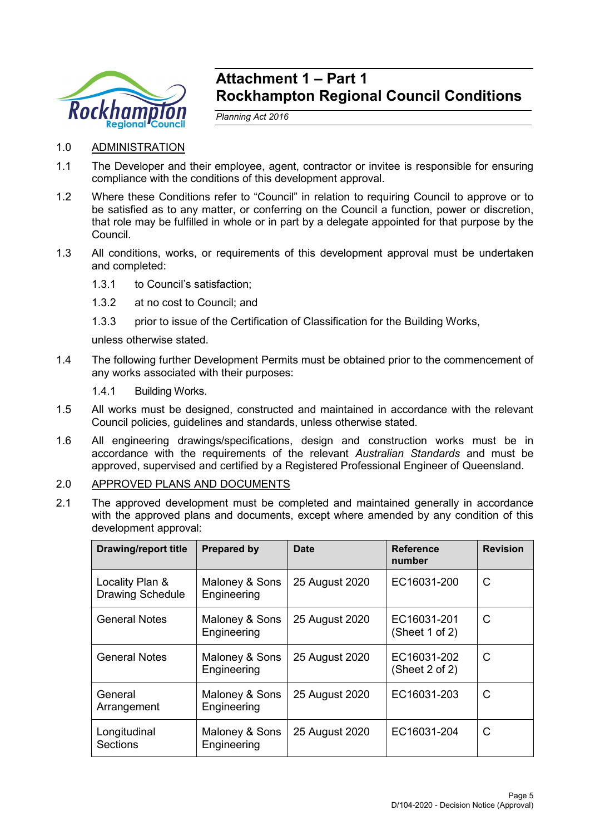

## **Attachment 1 – Part 1 Rockhampton Regional Council Conditions**

*Planning Act 2016*

- 1.0 ADMINISTRATION
- 1.1 The Developer and their employee, agent, contractor or invitee is responsible for ensuring compliance with the conditions of this development approval.
- 1.2 Where these Conditions refer to "Council" in relation to requiring Council to approve or to be satisfied as to any matter, or conferring on the Council a function, power or discretion, that role may be fulfilled in whole or in part by a delegate appointed for that purpose by the Council.
- 1.3 All conditions, works, or requirements of this development approval must be undertaken and completed:
	- 1.3.1 to Council's satisfaction;
	- 1.3.2 at no cost to Council; and
	- 1.3.3 prior to issue of the Certification of Classification for the Building Works,

unless otherwise stated.

- 1.4 The following further Development Permits must be obtained prior to the commencement of any works associated with their purposes:
	- 1.4.1 Building Works.
- 1.5 All works must be designed, constructed and maintained in accordance with the relevant Council policies, guidelines and standards, unless otherwise stated.
- 1.6 All engineering drawings/specifications, design and construction works must be in accordance with the requirements of the relevant *Australian Standards* and must be approved, supervised and certified by a Registered Professional Engineer of Queensland.
- 2.0 APPROVED PLANS AND DOCUMENTS
- 2.1 The approved development must be completed and maintained generally in accordance with the approved plans and documents, except where amended by any condition of this development approval:

| <b>Drawing/report title</b>                | <b>Prepared by</b>            | <b>Date</b>    | <b>Reference</b><br>number    | <b>Revision</b> |
|--------------------------------------------|-------------------------------|----------------|-------------------------------|-----------------|
| Locality Plan &<br><b>Drawing Schedule</b> | Maloney & Sons<br>Engineering | 25 August 2020 | EC16031-200                   | C               |
| <b>General Notes</b>                       | Maloney & Sons<br>Engineering | 25 August 2020 | EC16031-201<br>(Sheet 1 of 2) | C               |
| <b>General Notes</b>                       | Maloney & Sons<br>Engineering | 25 August 2020 | EC16031-202<br>(Sheet 2 of 2) | C               |
| General<br>Arrangement                     | Maloney & Sons<br>Engineering | 25 August 2020 | EC16031-203                   | C               |
| Longitudinal<br>Sections                   | Maloney & Sons<br>Engineering | 25 August 2020 | EC16031-204                   | C               |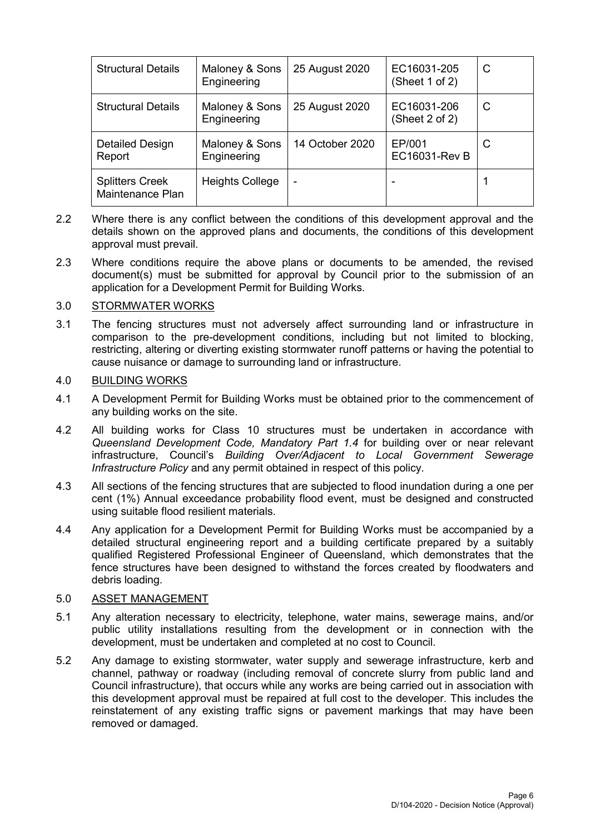| <b>Structural Details</b>                  | Maloney & Sons<br>Engineering | 25 August 2020           | EC16031-205<br>(Sheet 1 of 2)  | C |
|--------------------------------------------|-------------------------------|--------------------------|--------------------------------|---|
| <b>Structural Details</b>                  | Maloney & Sons<br>Engineering | 25 August 2020           | EC16031-206<br>(Sheet 2 of 2)  | C |
| Detailed Design<br>Report                  | Maloney & Sons<br>Engineering | 14 October 2020          | EP/001<br><b>EC16031-Rev B</b> | C |
| <b>Splitters Creek</b><br>Maintenance Plan | <b>Heights College</b>        | $\overline{\phantom{a}}$ |                                |   |

- 2.2 Where there is any conflict between the conditions of this development approval and the details shown on the approved plans and documents, the conditions of this development approval must prevail.
- 2.3 Where conditions require the above plans or documents to be amended, the revised document(s) must be submitted for approval by Council prior to the submission of an application for a Development Permit for Building Works.

#### 3.0 STORMWATER WORKS

3.1 The fencing structures must not adversely affect surrounding land or infrastructure in comparison to the pre-development conditions, including but not limited to blocking, restricting, altering or diverting existing stormwater runoff patterns or having the potential to cause nuisance or damage to surrounding land or infrastructure.

#### 4.0 BUILDING WORKS

- 4.1 A Development Permit for Building Works must be obtained prior to the commencement of any building works on the site.
- 4.2 All building works for Class 10 structures must be undertaken in accordance with *Queensland Development Code, Mandatory Part 1.4* for building over or near relevant infrastructure, Council's *Building Over/Adjacent to Local Government Sewerage Infrastructure Policy* and any permit obtained in respect of this policy.
- 4.3 All sections of the fencing structures that are subjected to flood inundation during a one per cent (1%) Annual exceedance probability flood event, must be designed and constructed using suitable flood resilient materials.
- 4.4 Any application for a Development Permit for Building Works must be accompanied by a detailed structural engineering report and a building certificate prepared by a suitably qualified Registered Professional Engineer of Queensland, which demonstrates that the fence structures have been designed to withstand the forces created by floodwaters and debris loading.

#### 5.0 ASSET MANAGEMENT

- 5.1 Any alteration necessary to electricity, telephone, water mains, sewerage mains, and/or public utility installations resulting from the development or in connection with the development, must be undertaken and completed at no cost to Council.
- 5.2 Any damage to existing stormwater, water supply and sewerage infrastructure, kerb and channel, pathway or roadway (including removal of concrete slurry from public land and Council infrastructure), that occurs while any works are being carried out in association with this development approval must be repaired at full cost to the developer. This includes the reinstatement of any existing traffic signs or pavement markings that may have been removed or damaged.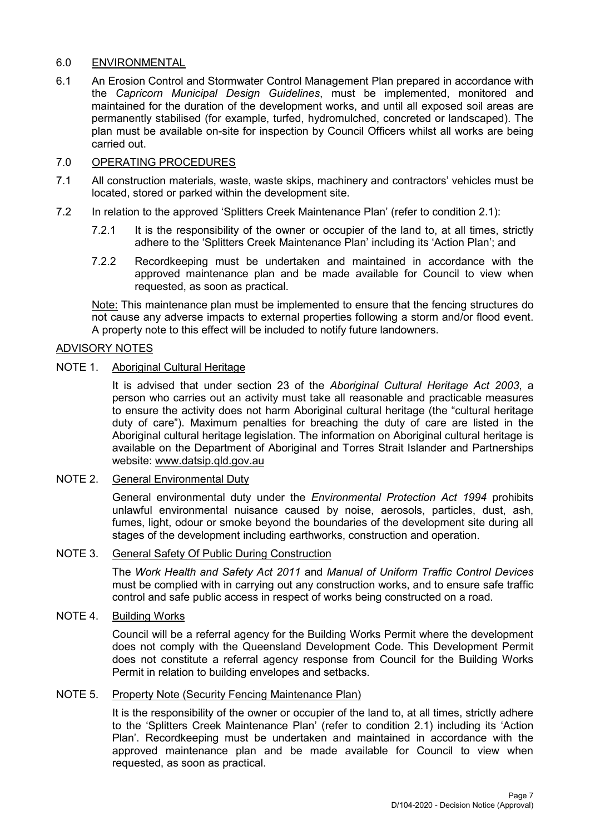### 6.0 ENVIRONMENTAL

6.1 An Erosion Control and Stormwater Control Management Plan prepared in accordance with the *Capricorn Municipal Design Guidelines*, must be implemented, monitored and maintained for the duration of the development works, and until all exposed soil areas are permanently stabilised (for example, turfed, hydromulched, concreted or landscaped). The plan must be available on-site for inspection by Council Officers whilst all works are being carried out.

## 7.0 OPERATING PROCEDURES

- 7.1 All construction materials, waste, waste skips, machinery and contractors' vehicles must be located, stored or parked within the development site.
- 7.2 In relation to the approved 'Splitters Creek Maintenance Plan' (refer to condition 2.1):
	- 7.2.1 It is the responsibility of the owner or occupier of the land to, at all times, strictly adhere to the 'Splitters Creek Maintenance Plan' including its 'Action Plan'; and
	- 7.2.2 Recordkeeping must be undertaken and maintained in accordance with the approved maintenance plan and be made available for Council to view when requested, as soon as practical.

Note: This maintenance plan must be implemented to ensure that the fencing structures do not cause any adverse impacts to external properties following a storm and/or flood event. A property note to this effect will be included to notify future landowners.

#### ADVISORY NOTES

## NOTE 1. Aboriginal Cultural Heritage

It is advised that under section 23 of the *Aboriginal Cultural Heritage Act 2003*, a person who carries out an activity must take all reasonable and practicable measures to ensure the activity does not harm Aboriginal cultural heritage (the "cultural heritage duty of care"). Maximum penalties for breaching the duty of care are listed in the Aboriginal cultural heritage legislation. The information on Aboriginal cultural heritage is available on the Department of Aboriginal and Torres Strait Islander and Partnerships website: [www.datsip.qld.gov.au](http://www.datsip.qld.gov.au/)

### NOTE 2. General Environmental Duty

General environmental duty under the *Environmental Protection Act 1994* prohibits unlawful environmental nuisance caused by noise, aerosols, particles, dust, ash, fumes, light, odour or smoke beyond the boundaries of the development site during all stages of the development including earthworks, construction and operation.

#### NOTE 3. General Safety Of Public During Construction

The *Work Health and Safety Act 2011* and *Manual of Uniform Traffic Control Devices* must be complied with in carrying out any construction works, and to ensure safe traffic control and safe public access in respect of works being constructed on a road.

#### NOTE 4. Building Works

Council will be a referral agency for the Building Works Permit where the development does not comply with the Queensland Development Code. This Development Permit does not constitute a referral agency response from Council for the Building Works Permit in relation to building envelopes and setbacks.

#### NOTE 5. Property Note (Security Fencing Maintenance Plan)

It is the responsibility of the owner or occupier of the land to, at all times, strictly adhere to the 'Splitters Creek Maintenance Plan' (refer to condition 2.1) including its 'Action Plan'. Recordkeeping must be undertaken and maintained in accordance with the approved maintenance plan and be made available for Council to view when requested, as soon as practical.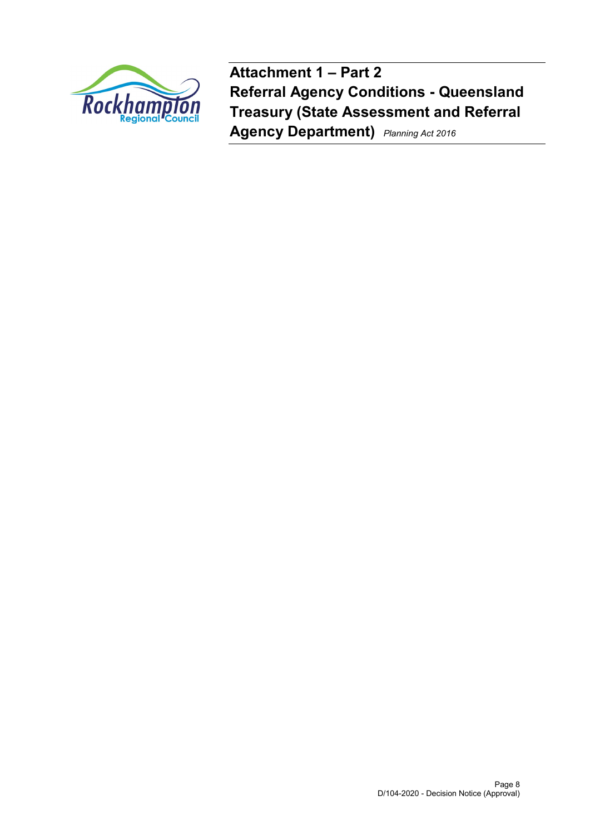

**Attachment 1 – Part 2 Referral Agency Conditions - Queensland Treasury (State Assessment and Referral Agency Department)** *Planning Act 2016*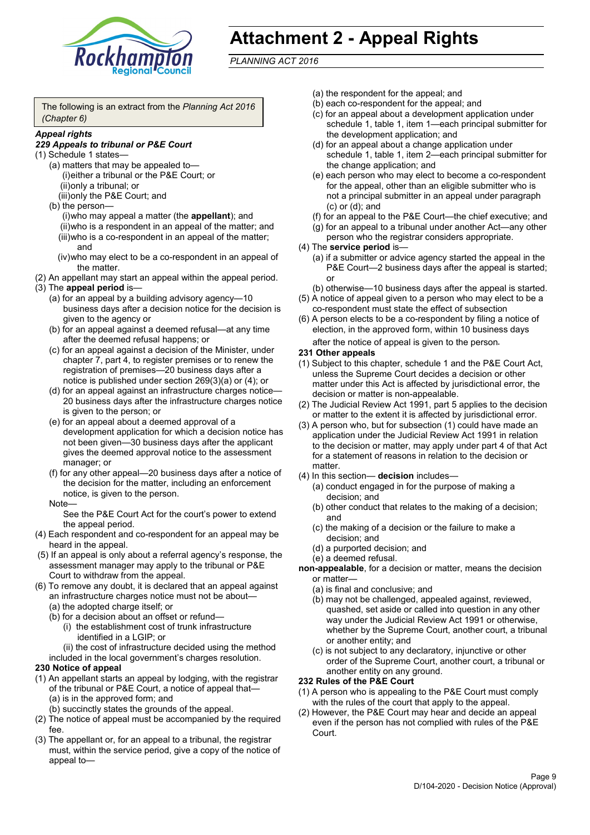

# **Attachment 2 - Appeal Rights**

*PLANNING ACT 2016*

The following is an extract from the *Planning Act 2016 (Chapter 6)*

#### *Appeal rights*

#### *229 Appeals to tribunal or P&E Court*

- (1) Schedule 1 states—
	- (a) matters that may be appealed to— (i)either a tribunal or the P&E Court; or (ii)only a tribunal; or (iii)only the P&E Court; and
	- (b) the person—

(i)who may appeal a matter (the **appellant**); and (ii)who is a respondent in an appeal of the matter; and (iii)who is a co-respondent in an appeal of the matter; and

- (iv)who may elect to be a co-respondent in an appeal of the matter.
- (2) An appellant may start an appeal within the appeal period.
- (3) The **appeal period** is—
	- (a) for an appeal by a building advisory agency—10 business days after a decision notice for the decision is given to the agency or
	- (b) for an appeal against a deemed refusal—at any time after the deemed refusal happens; or
	- (c) for an appeal against a decision of the Minister, under chapter 7, part 4, to register premises or to renew the registration of premises—20 business days after a notice is published under section 269(3)(a) or (4); or
	- (d) for an appeal against an infrastructure charges notice— 20 business days after the infrastructure charges notice is given to the person; or
	- (e) for an appeal about a deemed approval of a development application for which a decision notice has not been given—30 business days after the applicant gives the deemed approval notice to the assessment manager; or
	- (f) for any other appeal—20 business days after a notice of the decision for the matter, including an enforcement notice, is given to the person.

#### Note—

See the P&E Court Act for the court's power to extend the appeal period.

- (4) Each respondent and co-respondent for an appeal may be heard in the appeal.
- (5) If an appeal is only about a referral agency's response, the assessment manager may apply to the tribunal or P&E Court to withdraw from the appeal.
- (6) To remove any doubt, it is declared that an appeal against an infrastructure charges notice must not be about—
	- (a) the adopted charge itself; or
	- (b) for a decision about an offset or refund—
		- (i) the establishment cost of trunk infrastructure identified in a LGIP; or
		- (ii) the cost of infrastructure decided using the method

included in the local government's charges resolution.

#### **230 Notice of appeal**

- (1) An appellant starts an appeal by lodging, with the registrar of the tribunal or P&E Court, a notice of appeal that—
	- (a) is in the approved form; and
	- (b) succinctly states the grounds of the appeal.
- (2) The notice of appeal must be accompanied by the required fee.
- (3) The appellant or, for an appeal to a tribunal, the registrar must, within the service period, give a copy of the notice of appeal to—
- (a) the respondent for the appeal; and
- (b) each co-respondent for the appeal; and
- (c) for an appeal about a development application under schedule 1, table 1, item 1—each principal submitter for the development application; and
- (d) for an appeal about a change application under schedule 1, table 1, item 2—each principal submitter for the change application; and
- (e) each person who may elect to become a co-respondent for the appeal, other than an eligible submitter who is not a principal submitter in an appeal under paragraph (c) or (d); and
- (f) for an appeal to the P&E Court—the chief executive; and
- (g) for an appeal to a tribunal under another Act—any other person who the registrar considers appropriate.
- (4) The **service period** is—
	- (a) if a submitter or advice agency started the appeal in the P&E Court—2 business days after the appeal is started; or
	- (b) otherwise—10 business days after the appeal is started.
- (5) A notice of appeal given to a person who may elect to be a co-respondent must state the effect of subsection
- (6) A person elects to be a co-respondent by filing a notice of election, in the approved form, within 10 business days after the notice of appeal is given to the person*.*
- **231 Other appeals**
- (1) Subject to this chapter, schedule 1 and the P&E Court Act, unless the Supreme Court decides a decision or other matter under this Act is affected by jurisdictional error, the decision or matter is non-appealable.
- (2) The Judicial Review Act 1991, part 5 applies to the decision or matter to the extent it is affected by jurisdictional error.
- (3) A person who, but for subsection (1) could have made an application under the Judicial Review Act 1991 in relation to the decision or matter, may apply under part 4 of that Act for a statement of reasons in relation to the decision or matter.
- (4) In this section— **decision** includes—
	- (a) conduct engaged in for the purpose of making a decision; and
	- (b) other conduct that relates to the making of a decision; and
	- (c) the making of a decision or the failure to make a decision; and
	- (d) a purported decision; and
	- (e) a deemed refusal.

**non-appealable**, for a decision or matter, means the decision or matter—

- (a) is final and conclusive; and
- (b) may not be challenged, appealed against, reviewed, quashed, set aside or called into question in any other way under the Judicial Review Act 1991 or otherwise, whether by the Supreme Court, another court, a tribunal or another entity; and
- (c) is not subject to any declaratory, injunctive or other order of the Supreme Court, another court, a tribunal or another entity on any ground.

#### **232 Rules of the P&E Court**

- (1) A person who is appealing to the P&E Court must comply with the rules of the court that apply to the appeal.
- (2) However, the P&E Court may hear and decide an appeal even if the person has not complied with rules of the P&E Court.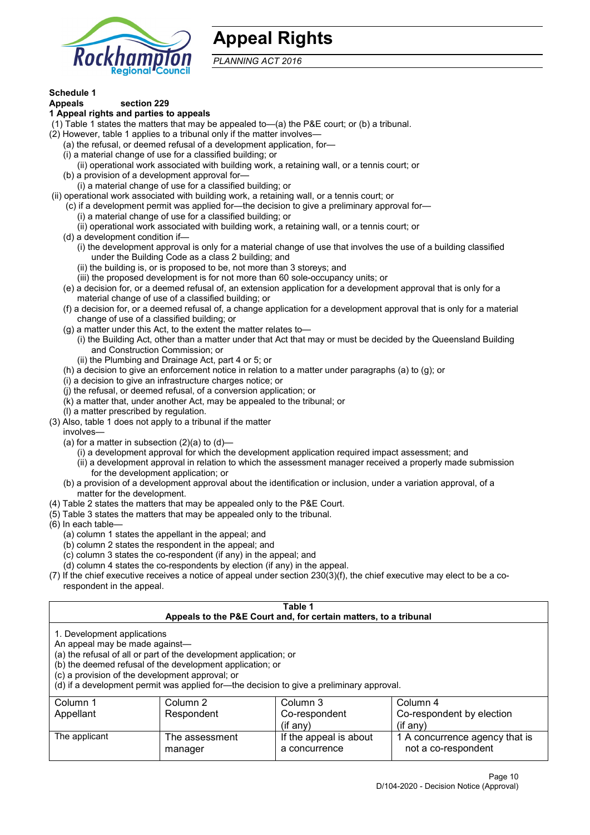

## **Appeal Rights**

*PLANNING ACT 2016*

## **Schedule 1**

#### **Appeals section 229 1 Appeal rights and parties to appeals**

- (1) Table 1 states the matters that may be appealed to—(a) the P&E court; or (b) a tribunal.
- (2) However, table 1 applies to a tribunal only if the matter involves—
	- (a) the refusal, or deemed refusal of a development application, for—
	- (i) a material change of use for a classified building; or
	- (ii) operational work associated with building work, a retaining wall, or a tennis court; or
	- (b) a provision of a development approval for—
	- (i) a material change of use for a classified building; or
- (ii) operational work associated with building work, a retaining wall, or a tennis court; or
	- (c) if a development permit was applied for—the decision to give a preliminary approval for—
		- (i) a material change of use for a classified building; or
		- (ii) operational work associated with building work, a retaining wall, or a tennis court; or
	- (d) a development condition if—
		- (i) the development approval is only for a material change of use that involves the use of a building classified under the Building Code as a class 2 building; and
		- (ii) the building is, or is proposed to be, not more than 3 storeys; and
		- (iii) the proposed development is for not more than 60 sole-occupancy units; or
	- (e) a decision for, or a deemed refusal of, an extension application for a development approval that is only for a material change of use of a classified building; or
	- (f) a decision for, or a deemed refusal of, a change application for a development approval that is only for a material change of use of a classified building; or
	- (g) a matter under this Act, to the extent the matter relates to—
		- (i) the Building Act, other than a matter under that Act that may or must be decided by the Queensland Building and Construction Commission; or
		- (ii) the Plumbing and Drainage Act, part 4 or 5; or
	- (h) a decision to give an enforcement notice in relation to a matter under paragraphs (a) to (g); or
	- (i) a decision to give an infrastructure charges notice; or
	- (j) the refusal, or deemed refusal, of a conversion application; or
	- (k) a matter that, under another Act, may be appealed to the tribunal; or
	- (l) a matter prescribed by regulation.
- (3) Also, table 1 does not apply to a tribunal if the matter

involves—

- (a) for a matter in subsection  $(2)(a)$  to  $(d)$ 
	- (i) a development approval for which the development application required impact assessment; and
	- (ii) a development approval in relation to which the assessment manager received a properly made submission for the development application; or
- (b) a provision of a development approval about the identification or inclusion, under a variation approval, of a matter for the development.
- (4) Table 2 states the matters that may be appealed only to the P&E Court.
- (5) Table 3 states the matters that may be appealed only to the tribunal.
- (6) In each table—
	- (a) column 1 states the appellant in the appeal; and
	- (b) column 2 states the respondent in the appeal; and
	- (c) column 3 states the co-respondent (if any) in the appeal; and
	- (d) column 4 states the co-respondents by election (if any) in the appeal.
- (7) If the chief executive receives a notice of appeal under section 230(3)(f), the chief executive may elect to be a corespondent in the appeal.

| Table 1<br>Appeals to the P&E Court and, for certain matters, to a tribunal                                                                                                                                                                                                                                                                    |                           |                                             |                                                         |  |  |
|------------------------------------------------------------------------------------------------------------------------------------------------------------------------------------------------------------------------------------------------------------------------------------------------------------------------------------------------|---------------------------|---------------------------------------------|---------------------------------------------------------|--|--|
| 1. Development applications<br>An appeal may be made against-<br>(a) the refusal of all or part of the development application; or<br>(b) the deemed refusal of the development application; or<br>(c) a provision of the development approval; or<br>(d) if a development permit was applied for—the decision to give a preliminary approval. |                           |                                             |                                                         |  |  |
| Column 1<br>Appellant                                                                                                                                                                                                                                                                                                                          | Column 2<br>Respondent    | Column 3<br>Co-respondent<br>$($ if any $)$ | Column 4<br>Co-respondent by election<br>$(i$ f anv $)$ |  |  |
| The applicant                                                                                                                                                                                                                                                                                                                                  | The assessment<br>manager | If the appeal is about<br>a concurrence     | 1 A concurrence agency that is<br>not a co-respondent   |  |  |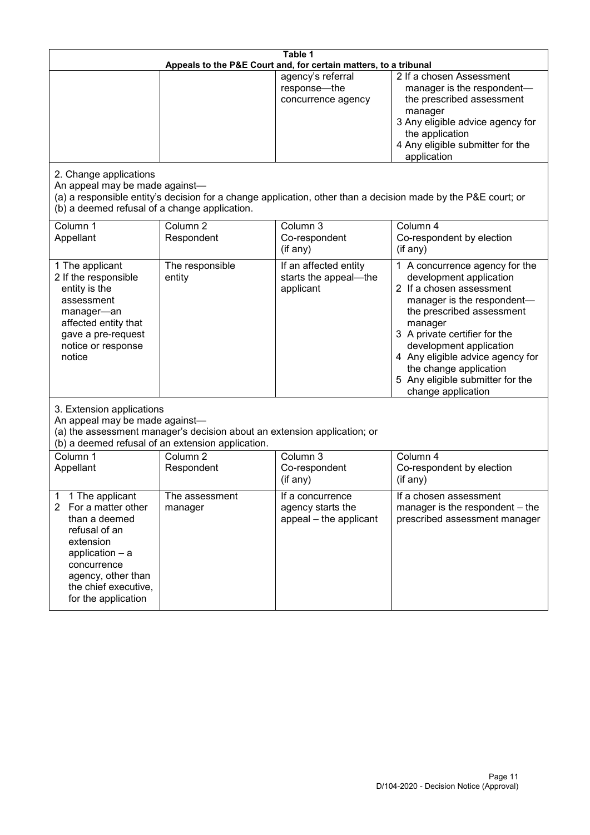| Table 1<br>Appeals to the P&E Court and, for certain matters, to a tribunal                                                                                                                           |                                                                                                                               |                                                                 |                                                                                                                                                                                                                                                                                                                                                 |  |
|-------------------------------------------------------------------------------------------------------------------------------------------------------------------------------------------------------|-------------------------------------------------------------------------------------------------------------------------------|-----------------------------------------------------------------|-------------------------------------------------------------------------------------------------------------------------------------------------------------------------------------------------------------------------------------------------------------------------------------------------------------------------------------------------|--|
|                                                                                                                                                                                                       |                                                                                                                               | agency's referral<br>response-the<br>concurrence agency         | 2 If a chosen Assessment<br>manager is the respondent-<br>the prescribed assessment<br>manager<br>3 Any eligible advice agency for<br>the application<br>4 Any eligible submitter for the<br>application                                                                                                                                        |  |
| 2. Change applications<br>An appeal may be made against-<br>(b) a deemed refusal of a change application.                                                                                             |                                                                                                                               |                                                                 | (a) a responsible entity's decision for a change application, other than a decision made by the P&E court; or                                                                                                                                                                                                                                   |  |
| Column 1<br>Appellant                                                                                                                                                                                 | Column <sub>2</sub><br>Respondent                                                                                             | Column 3<br>Co-respondent<br>(if any)                           | Column 4<br>Co-respondent by election<br>(if any)                                                                                                                                                                                                                                                                                               |  |
| 1 The applicant<br>2 If the responsible<br>entity is the<br>assessment<br>manager-an<br>affected entity that<br>gave a pre-request<br>notice or response<br>notice                                    | The responsible<br>entity                                                                                                     | If an affected entity<br>starts the appeal-the<br>applicant     | 1 A concurrence agency for the<br>development application<br>2 If a chosen assessment<br>manager is the respondent-<br>the prescribed assessment<br>manager<br>3 A private certifier for the<br>development application<br>4 Any eligible advice agency for<br>the change application<br>5 Any eligible submitter for the<br>change application |  |
| 3. Extension applications<br>An appeal may be made against-                                                                                                                                           | (a) the assessment manager's decision about an extension application; or<br>(b) a deemed refusal of an extension application. |                                                                 |                                                                                                                                                                                                                                                                                                                                                 |  |
| Column 1<br>Appellant                                                                                                                                                                                 | Column <sub>2</sub><br>Respondent                                                                                             | Column 3<br>Co-respondent<br>(if any)                           | Column 4<br>Co-respondent by election<br>(if any)                                                                                                                                                                                                                                                                                               |  |
| 1 The applicant<br>1<br>2<br>For a matter other<br>than a deemed<br>refusal of an<br>extension<br>application - a<br>concurrence<br>agency, other than<br>the chief executive,<br>for the application | The assessment<br>manager                                                                                                     | If a concurrence<br>agency starts the<br>appeal - the applicant | If a chosen assessment<br>manager is the respondent - the<br>prescribed assessment manager                                                                                                                                                                                                                                                      |  |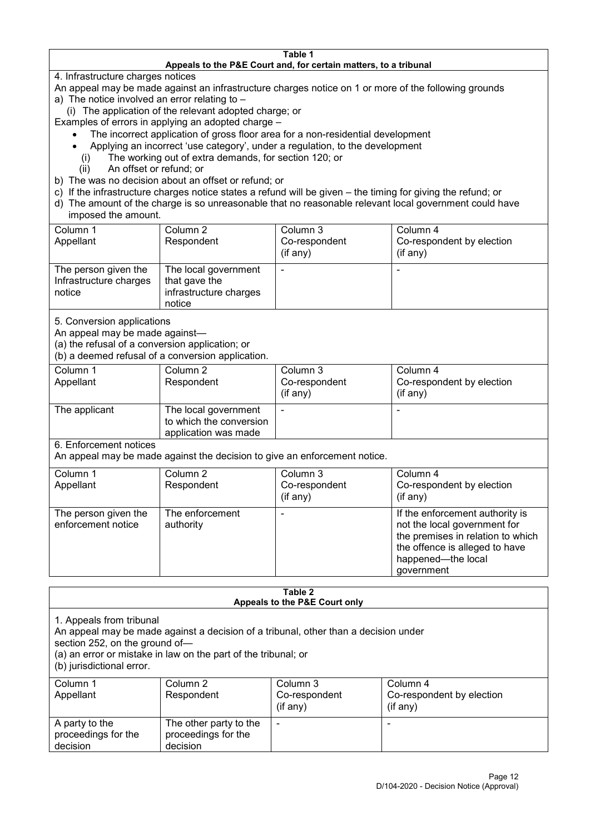#### **Table 1 Appeals to the P&E Court and, for certain matters, to a tribunal**

4. Infrastructure charges notices

- An appeal may be made against an infrastructure charges notice on 1 or more of the following grounds
- a) The notice involved an error relating to
	- (i) The application of the relevant adopted charge; or
- Examples of errors in applying an adopted charge
	- The incorrect application of gross floor area for a non-residential development
	- Applying an incorrect 'use category', under a regulation, to the development
	- (i) The working out of extra demands, for section 120; or
	- (ii) An offset or refund; or
- b) The was no decision about an offset or refund; or
- c) If the infrastructure charges notice states a refund will be given the timing for giving the refund; or
- d) The amount of the charge is so unreasonable that no reasonable relevant local government could have

## imposed the amount.

| Column 1<br>Appellant                                    | Column 2<br>Respondent                                                    | Column 3<br>Co-respondent<br>(if any) | Column 4<br>Co-respondent by election<br>$($ if any $)$ |
|----------------------------------------------------------|---------------------------------------------------------------------------|---------------------------------------|---------------------------------------------------------|
| The person given the<br>Infrastructure charges<br>notice | The local government<br>that gave the<br>infrastructure charges<br>notice |                                       |                                                         |

5. Conversion applications

An appeal may be made against—

(a) the refusal of a conversion application; or

(b) a deemed refusal of a conversion application.

| Column 1<br>Appellant | Column 2<br>Respondent                                                  | Column 3<br>Co-respondent<br>$($ if any $)$ | Column 4<br>Co-respondent by election<br>$($ if any $)$ |
|-----------------------|-------------------------------------------------------------------------|---------------------------------------------|---------------------------------------------------------|
| The applicant         | The local government<br>to which the conversion<br>application was made |                                             | $\overline{\phantom{0}}$                                |

6. Enforcement notices

An appeal may be made against the decision to give an enforcement notice.

| Column 1                                   | Column 2                     | Column 3      | Column 4                                                                                                                                                                   |
|--------------------------------------------|------------------------------|---------------|----------------------------------------------------------------------------------------------------------------------------------------------------------------------------|
| Appellant                                  | Respondent                   | Co-respondent | Co-respondent by election                                                                                                                                                  |
|                                            |                              | (if any)      | $($ if any $)$                                                                                                                                                             |
| The person given the<br>enforcement notice | The enforcement<br>authority |               | If the enforcement authority is<br>not the local government for<br>the premises in relation to which<br>the offence is alleged to have<br>happened-the local<br>government |

#### **Table 2 Appeals to the P&E Court only**

1. Appeals from tribunal

An appeal may be made against a decision of a tribunal, other than a decision under

section 252, on the ground of—

(a) an error or mistake in law on the part of the tribunal; or

(b) jurisdictional error.

| Column 1<br>Appellant                             | Column 2<br>Respondent                                    | Column 3<br>Co-respondent<br>$($ if any $)$ | Column 4<br>Co-respondent by election<br>$($ if any $)$ |
|---------------------------------------------------|-----------------------------------------------------------|---------------------------------------------|---------------------------------------------------------|
| A party to the<br>proceedings for the<br>decision | The other party to the<br>proceedings for the<br>decision | ٠                                           |                                                         |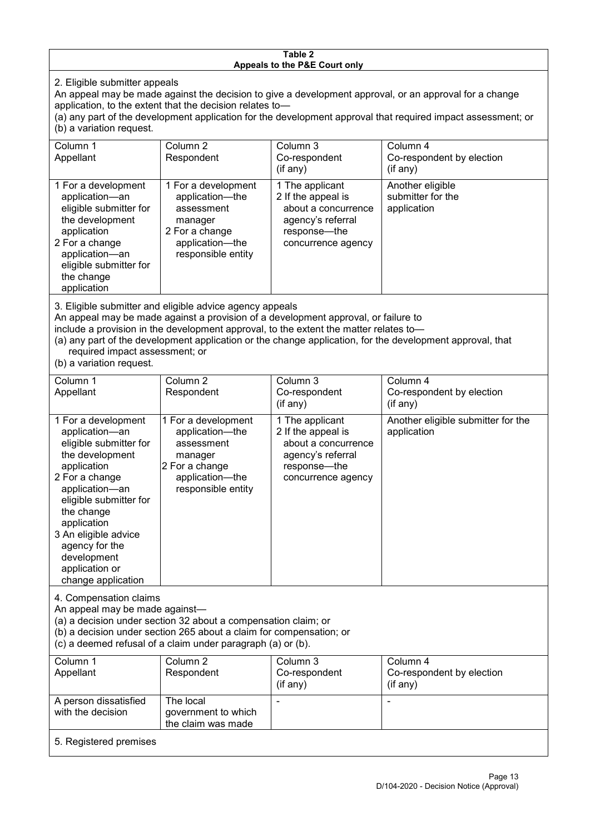#### **Table 2 Appeals to the P&E Court only**

2. Eligible submitter appeals

An appeal may be made against the decision to give a development approval, or an approval for a change application, to the extent that the decision relates to—

(a) any part of the development application for the development approval that required impact assessment; or (b) a variation request.

| Column 1                                                                                                                                                                                     | Column 2                                                                                                                                                                                                                          | Column 3                                                                                                                  | Column 4                                             |  |  |
|----------------------------------------------------------------------------------------------------------------------------------------------------------------------------------------------|-----------------------------------------------------------------------------------------------------------------------------------------------------------------------------------------------------------------------------------|---------------------------------------------------------------------------------------------------------------------------|------------------------------------------------------|--|--|
| Appellant                                                                                                                                                                                    | Respondent                                                                                                                                                                                                                        | Co-respondent                                                                                                             | Co-respondent by election                            |  |  |
|                                                                                                                                                                                              |                                                                                                                                                                                                                                   | (if any)                                                                                                                  | (if any)                                             |  |  |
| 1 For a development<br>application-an<br>eligible submitter for<br>the development<br>application<br>2 For a change<br>application-an<br>eligible submitter for<br>the change<br>application | 1 For a development<br>application-the<br>assessment<br>manager<br>2 For a change<br>application-the<br>responsible entity                                                                                                        | 1 The applicant<br>2 If the appeal is<br>about a concurrence<br>agency's referral<br>response---the<br>concurrence agency | Another eligible<br>submitter for the<br>application |  |  |
|                                                                                                                                                                                              | $\mathsf{A}$ . Figure 1. The contract of the contract of the contract of the contract of the contract of the contract of the contract of the contract of the contract of the contract of the contract of the contract of the cont |                                                                                                                           |                                                      |  |  |

3. Eligible submitter and eligible advice agency appeals

An appeal may be made against a provision of a development approval, or failure to

include a provision in the development approval, to the extent the matter relates to—

(a) any part of the development application or the change application, for the development approval, that required impact assessment; or

(b) a variation request.

| Column 1<br>Appellant                                                                                                                                                                                                                                                                         | Column <sub>2</sub><br>Respondent                                                                                                                                                                    | Column 3<br>Co-respondent                                                                                               | Column 4<br>Co-respondent by election             |
|-----------------------------------------------------------------------------------------------------------------------------------------------------------------------------------------------------------------------------------------------------------------------------------------------|------------------------------------------------------------------------------------------------------------------------------------------------------------------------------------------------------|-------------------------------------------------------------------------------------------------------------------------|---------------------------------------------------|
|                                                                                                                                                                                                                                                                                               |                                                                                                                                                                                                      | (if any)                                                                                                                | (if any)                                          |
| 1 For a development<br>application-an<br>eligible submitter for<br>the development<br>application<br>2 For a change<br>application-an<br>eligible submitter for<br>the change<br>application<br>3 An eligible advice<br>agency for the<br>development<br>application or<br>change application | 1 For a development<br>application-the<br>assessment<br>manager<br>2 For a change<br>application-the<br>responsible entity                                                                           | 1 The applicant<br>2 If the appeal is<br>about a concurrence<br>agency's referral<br>response—the<br>concurrence agency | Another eligible submitter for the<br>application |
| 4. Compensation claims<br>An appeal may be made against-                                                                                                                                                                                                                                      | (a) a decision under section 32 about a compensation claim; or<br>(b) a decision under section 265 about a claim for compensation; or<br>(c) a deemed refusal of a claim under paragraph (a) or (b). |                                                                                                                         |                                                   |
| Column 1<br>Appellant                                                                                                                                                                                                                                                                         | Column 2<br>Respondent                                                                                                                                                                               | Column 3<br>Co-respondent<br>(if any)                                                                                   | Column 4<br>Co-respondent by election<br>(if any) |
| A person dissatisfied<br>with the decision                                                                                                                                                                                                                                                    | The local<br>government to which<br>the claim was made                                                                                                                                               |                                                                                                                         |                                                   |
| 5. Registered premises                                                                                                                                                                                                                                                                        |                                                                                                                                                                                                      |                                                                                                                         |                                                   |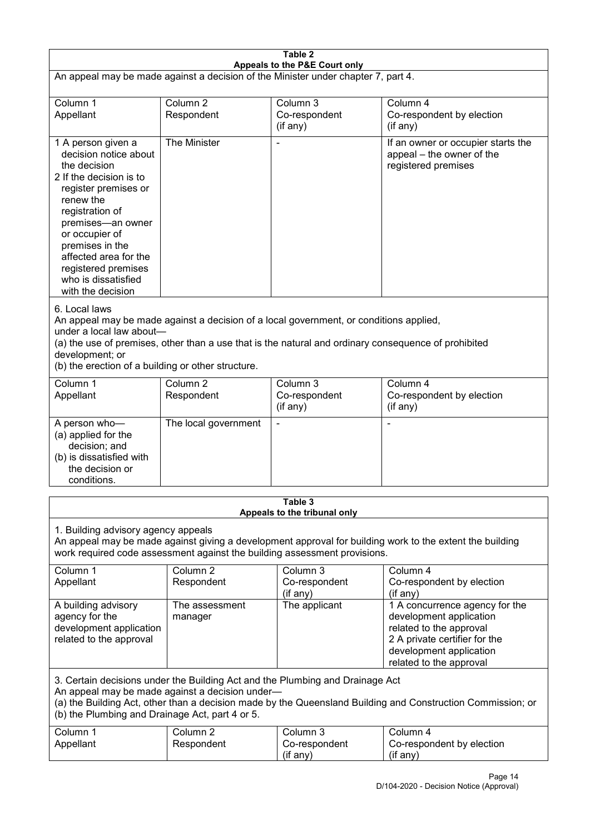| Table 2<br>Appeals to the P&E Court only                                                                                                                                                                                                                                                                             |                                   |                                                                           |                                                                                                                                                                             |  |  |
|----------------------------------------------------------------------------------------------------------------------------------------------------------------------------------------------------------------------------------------------------------------------------------------------------------------------|-----------------------------------|---------------------------------------------------------------------------|-----------------------------------------------------------------------------------------------------------------------------------------------------------------------------|--|--|
| An appeal may be made against a decision of the Minister under chapter 7, part 4.                                                                                                                                                                                                                                    |                                   |                                                                           |                                                                                                                                                                             |  |  |
| Column 1                                                                                                                                                                                                                                                                                                             | Column <sub>2</sub>               | Column 3                                                                  | Column 4                                                                                                                                                                    |  |  |
| Appellant                                                                                                                                                                                                                                                                                                            | Respondent                        | Co-respondent<br>(if any)                                                 | Co-respondent by election<br>(if any)                                                                                                                                       |  |  |
| 1 A person given a<br>decision notice about<br>the decision<br>2 If the decision is to<br>register premises or<br>renew the<br>registration of<br>premises-an owner<br>or occupier of<br>premises in the<br>affected area for the<br>registered premises<br>who is dissatisfied<br>with the decision                 | The Minister                      |                                                                           | If an owner or occupier starts the<br>appeal - the owner of the<br>registered premises                                                                                      |  |  |
| 6. Local laws<br>An appeal may be made against a decision of a local government, or conditions applied,<br>under a local law about-<br>(a) the use of premises, other than a use that is the natural and ordinary consequence of prohibited<br>development; or<br>(b) the erection of a building or other structure. |                                   |                                                                           |                                                                                                                                                                             |  |  |
| Column 1<br>Appellant                                                                                                                                                                                                                                                                                                | Column <sub>2</sub><br>Respondent | Column 3<br>Co-respondent<br>(if any)                                     | Column 4<br>Co-respondent by election<br>(if any)                                                                                                                           |  |  |
| A person who-<br>(a) applied for the<br>decision; and<br>(b) is dissatisfied with<br>the decision or<br>conditions.                                                                                                                                                                                                  | The local government              |                                                                           |                                                                                                                                                                             |  |  |
|                                                                                                                                                                                                                                                                                                                      |                                   | Table 3<br>Appeals to the tribunal only                                   |                                                                                                                                                                             |  |  |
| 1. Building advisory agency appeals                                                                                                                                                                                                                                                                                  |                                   | work required code assessment against the building assessment provisions. | An appeal may be made against giving a development approval for building work to the extent the building                                                                    |  |  |
| Column 1<br>Appellant                                                                                                                                                                                                                                                                                                | Column <sub>2</sub><br>Respondent | Column 3<br>Co-respondent<br>(if any)                                     | Column 4<br>Co-respondent by election<br>(if any)                                                                                                                           |  |  |
| A building advisory<br>agency for the<br>development application<br>related to the approval                                                                                                                                                                                                                          | The assessment<br>manager         | The applicant                                                             | 1 A concurrence agency for the<br>development application<br>related to the approval<br>2 A private certifier for the<br>development application<br>related to the approval |  |  |
| 3. Certain decisions under the Building Act and the Plumbing and Drainage Act<br>An appeal may be made against a decision under-<br>(a) the Building Act, other than a decision made by the Queensland Building and Construction Commission; or<br>(b) the Plumbing and Drainage Act, part 4 or 5.                   |                                   |                                                                           |                                                                                                                                                                             |  |  |
| Column 1<br>Appellant                                                                                                                                                                                                                                                                                                | Column <sub>2</sub><br>Respondent | Column 3<br>Co-respondent<br>(if any)                                     | Column 4<br>Co-respondent by election<br>(if any)                                                                                                                           |  |  |